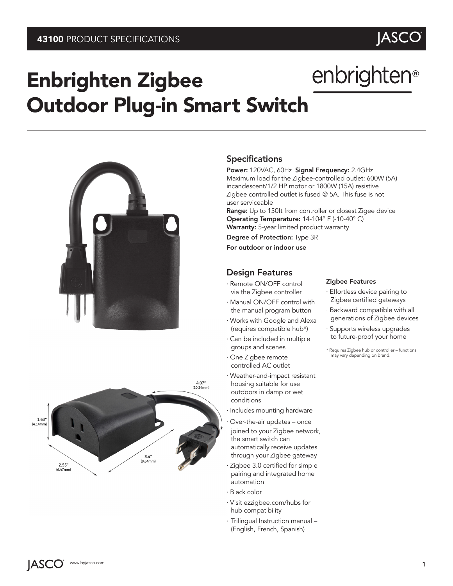# enbrighten<sup>®</sup>

**JASCO** 

## Enbrighten Zigbee Outdoor Plug-in Smart Switch





### **Specifications**

Power: 120VAC, 60Hz Signal Frequency: 2.4GHz Maximum load for the Zigbee-controlled outlet: 600W (5A) incandescent/1/2 HP motor or 1800W (15A) resistive Zigbee controlled outlet is fused @ 5A. This fuse is not user serviceable

Range: Up to 150ft from controller or closest Zigee device Operating Temperature: 14-104° F (-10-40° C) Warranty: 5-year limited product warranty

Degree of Protection: Type 3R For outdoor or indoor use

## Design Features

- · Remote ON/OFF control via the Zigbee controller
- · Manual ON/OFF control with the manual program button
- · Works with Google and Alexa (requires compatible hub\*)
- · Can be included in multiple groups and scenes
- · One Zigbee remote controlled AC outlet
- · Weather-and-impact resistant housing suitable for use outdoors in damp or wet conditions
- · Includes mounting hardware
- Over-the-air updates once joined to your Zigbee network, the smart switch can automatically receive updates through your Zigbee gateway
- · Zigbee 3.0 certified for simple pairing and integrated home automation
- · Black color
- · Visit ezzigbee.com/hubs for hub compatibility
- · Trilingual Instruction manual (English, French, Spanish)

#### Zigbee Features

- · Effortless device pairing to Zigbee certified gateways
- · Backward compatible with all generations of Zigbee devices
- · Supports wireless upgrades to future-proof your home
- \* Requires Zigbee hub or controller functions may vary depending on brand.

**JASCO**